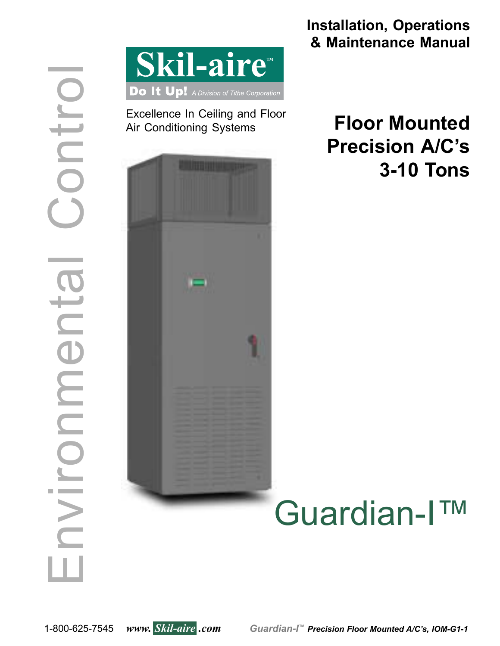

Excellence In Ceiling and Floor Air Conditioning Systems



**Installation, Operations & Maintenance Manual**

# **Floor Mounted Precision A/C's 3-10 Tons**

# Guardian-I™

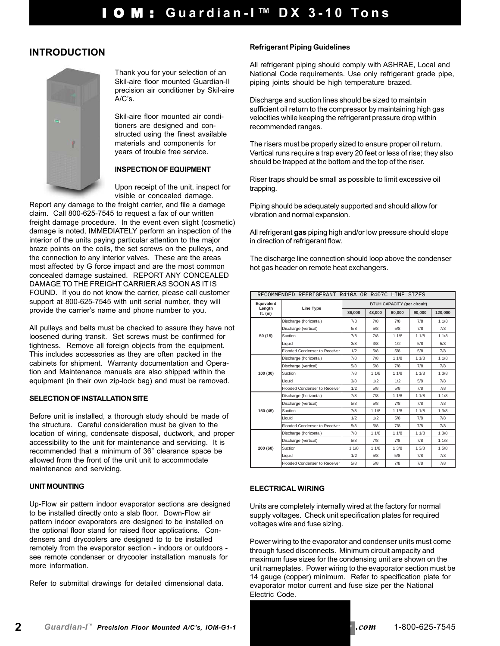# **INTRODUCTION**



Thank you for your selection of an Skil-aire floor mounted Guardian-II precision air conditioner by Skil-aire A/C's.

Skil-aire floor mounted air conditioners are designed and constructed using the finest available materials and components for years of trouble free service.

#### **INSPECTION OF EQUIPMENT**

Upon receipt of the unit, inspect for visible or concealed damage.

Report any damage to the freight carrier, and file a damage claim. Call 800-625-7545 to request a fax of our written freight damage procedure. In the event even slight (cosmetic) damage is noted, IMMEDIATELY perform an inspection of the interior of the units paying particular attention to the major braze points on the coils, the set screws on the pulleys, and the connection to any interior valves. These are the areas most affected by G force impact and are the most common concealed damage sustained. REPORT ANY CONCEALED DAMAGE TO THE FREIGHT CARRIER AS SOON AS IT IS FOUND. If you do not know the carrier, please call customer support at 800-625-7545 with unit serial number, they will provide the carrier's name and phone number to you.

All pulleys and belts must be checked to assure they have not loosened during transit. Set screws must be confirmed for tightness. Remove all foreign objects from the equipment. This includes accessories as they are often packed in the cabinets for shipment. Warranty documentation and Operation and Maintenance manuals are also shipped within the equipment (in their own zip-lock bag) and must be removed.

#### **SELECTION OF INSTALLATION SITE**

Before unit is installed, a thorough study should be made of the structure. Careful consideration must be given to the location of wiring, condensate disposal, ductwork, and proper accessibility to the unit for maintenance and servicing. It is recommended that a minimum of 36" clearance space be allowed from the front of the unit unit to accommodate maintenance and servicing.

#### **UNIT MOUNTING**

Up-Flow air pattern indoor evaporator sections are designed to be installed directly onto a slab floor. Down-Flow air pattern indoor evaporators are designed to be installed on the optional floor stand for raised floor applications. Condensers and drycoolers are designed to to be installed remotely from the evaporator section - indoors or outdoors see remote condenser or drycooler installation manuals for more information.

Refer to submittal drawings for detailed dimensional data.

#### **Refrigerant Piping Guidelines**

All refrigerant piping should comply with ASHRAE, Local and National Code requirements. Use only refrigerant grade pipe. piping joints should be high temperature brazed.

Discharge and suction lines should be sized to maintain sufficient oil return to the compressor by maintaining high gas velocities while keeping the refrigerant pressure drop within recommended ranges.

The risers must be properly sized to ensure proper oil return. Vertical runs require a trap every 20 feet or less of rise; they also should be trapped at the bottom and the top of the riser.

Riser traps should be small as possible to limit excessive oil trapping.

Piping should be adequately supported and should allow for vibration and normal expansion.

All refrigerant **gas** piping high and/or low pressure should slope in direction of refrigerant flow.

The discharge line connection should loop above the condenser hot gas header on remote heat exchangers.

| RECOMMENDED REFRIGERANT R410A OR R407C LINE SIZES |                                      |                                    |        |        |        |         |  |
|---------------------------------------------------|--------------------------------------|------------------------------------|--------|--------|--------|---------|--|
| Equivalent<br>Length                              |                                      | <b>BTUH CAPACITY (per circuit)</b> |        |        |        |         |  |
| ft. $(m)$                                         | <b>Line Type</b>                     | 36.000                             | 48.000 | 60.000 | 90,000 | 120,000 |  |
|                                                   | Discharge (horizontal)               | 7/8                                | 7/8    | 7/8    | 7/8    | 11/8    |  |
|                                                   | Discharge (vertical)                 | 5/8                                | 5/8    | 5/8    | 7/8    | 7/8     |  |
| 50 (15)                                           | Suction                              | 7/8                                | 7/8    | 11/8   | 11/8   | 11/8    |  |
|                                                   | Liquid                               | 3/8                                | 3/8    | 1/2    | 5/8    | 5/8     |  |
|                                                   | Flooded Condenser to Receiver        | 1/2                                | 5/8    | 5/8    | 5/8    | 7/8     |  |
|                                                   | Discharge (horizontal)               | 7/8                                | 7/8    | 11/8   | 11/8   | 11/8    |  |
|                                                   | Discharge (vertical)                 | 5/8                                | 5/8    | 7/8    | 7/8    | 7/8     |  |
| 100 (30)                                          | Suction                              | 7/8                                | 11/8   | 11/8   | 11/8   | 13/8    |  |
|                                                   | Liauid                               | 3/8                                | 1/2    | 1/2    | 5/8    | 7/8     |  |
|                                                   | Flooded Condenser to Receiver        | 1/2                                | 5/8    | 5/8    | 7/8    | 7/8     |  |
|                                                   | Discharge (horizontal)               | 7/8                                | 7/8    | 11/8   | 11/8   | 11/8    |  |
|                                                   | Discharge (vertical)                 | 5/8                                | 5/8    | 7/8    | 7/8    | 7/8     |  |
| 150 (45)                                          | Suction                              | 7/8                                | 11/8   | 11/8   | 11/8   | 13/8    |  |
|                                                   | Liauid                               | 1/2                                | 1/2    | 5/8    | 7/8    | 7/8     |  |
|                                                   | <b>Flooded Condenser to Receiver</b> | 5/8                                | 5/8    | 7/8    | 7/8    | 7/8     |  |
|                                                   | Discharge (horizontal)               | 7/8                                | 11/8   | 11/8   | 11/8   | 1.3/8   |  |
| 200 (60)                                          | Discharge (vertical)                 | 5/8                                | 7/8    | 7/8    | 7/8    | 11/8    |  |
|                                                   | Suction                              | 11/8                               | 11/8   | 13/8   | 13/8   | 15/8    |  |
|                                                   | Liquid                               | 1/2                                | 5/8    | 5/8    | 7/8    | 7/8     |  |
|                                                   | <b>Flooded Condenser to Receiver</b> | 5/8                                | 5/8    | 7/8    | 7/8    | 7/8     |  |

#### **ELECTRICAL WIRING**

Units are completely internally wired at the factory for normal supply voltages. Check unit specification plates for required voltages wire and fuse sizing.

Power wiring to the evaporator and condenser units must come through fused disconnects. Minimum circuit ampacity and maximum fuse sizes for the condensing unit are shown on the unit nameplates. Power wiring to the evaporator section must be 14 gauge (copper) minimum. Refer to specification plate for evaporator motor current and fuse size per the National Electric Code.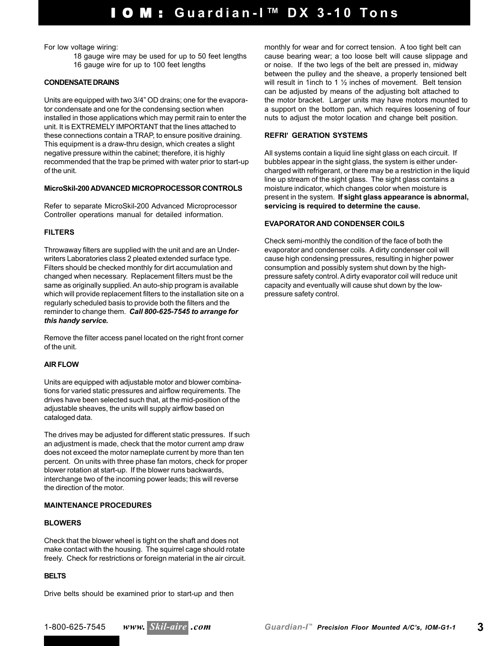For low voltage wiring:

18 gauge wire may be used for up to 50 feet lengths 16 gauge wire for up to 100 feet lengths

#### **CONDENSATE DRAINS**

Units are equipped with two 3/4" OD drains; one for the evaporator condensate and one for the condensing section when installed in those applications which may permit rain to enter the unit. It is EXTREMELY IMPORTANT that the lines attached to these connections contain a TRAP, to ensure positive draining. This equipment is a draw-thru design, which creates a slight negative pressure within the cabinet; therefore, it is highly recommended that the trap be primed with water prior to start-up of the unit.

#### **MicroSkil-200 ADVANCED MICROPROCESSOR CONTROLS**

Refer to separate MicroSkil-200 Advanced Microprocessor Controller operations manual for detailed information.

#### **FILTERS**

Throwaway filters are supplied with the unit and are an Underwriters Laboratories class 2 pleated extended surface type. Filters should be checked monthly for dirt accumulation and changed when necessary. Replacement filters must be the same as originally supplied. An auto-ship program is available which will provide replacement filters to the installation site on a regularly scheduled basis to provide both the filters and the reminder to change them. *Call 800-625-7545 to arrange for this handy service.*

Remove the filter access panel located on the right front corner of the unit.

#### **AIR FLOW**

Units are equipped with adjustable motor and blower combinations for varied static pressures and airflow requirements. The drives have been selected such that, at the mid-position of the adjustable sheaves, the units will supply airflow based on cataloged data.

The drives may be adjusted for different static pressures. If such an adjustment is made, check that the motor current amp draw does not exceed the motor nameplate current by more than ten percent. On units with three phase fan motors, check for proper blower rotation at start-up. If the blower runs backwards, interchange two of the incoming power leads; this will reverse the direction of the motor.

#### **MAINTENANCE PROCEDURES**

#### **BLOWERS**

Check that the blower wheel is tight on the shaft and does not make contact with the housing. The squirrel cage should rotate freely. Check for restrictions or foreign material in the air circuit.

#### **BELTS**

Drive belts should be examined prior to start-up and then

monthly for wear and for correct tension. A too tight belt can cause bearing wear; a too loose belt will cause slippage and or noise. If the two legs of the belt are pressed in, midway between the pulley and the sheave, a properly tensioned belt will result in 1inch to 1 ½ inches of movement. Belt tension can be adjusted by means of the adjusting bolt attached to the motor bracket. Larger units may have motors mounted to a support on the bottom pan, which requires loosening of four nuts to adjust the motor location and change belt position.

#### **REFRI'GERATION SYSTEMS**

All systems contain a liquid line sight glass on each circuit. If bubbles appear in the sight glass, the system is either undercharged with refrigerant, or there may be a restriction in the liquid line up stream of the sight glass. The sight glass contains a moisture indicator, which changes color when moisture is present in the system. **If sight glass appearance is abnormal, servicing is required to determine the cause.**

#### **EVAPORATOR AND CONDENSER COILS**

Check semi-monthly the condition of the face of both the evaporator and condenser coils. A dirty condenser coil will cause high condensing pressures, resulting in higher power consumption and possibly system shut down by the highpressure safety control. A dirty evaporator coil will reduce unit capacity and eventually will cause shut down by the lowpressure safety control.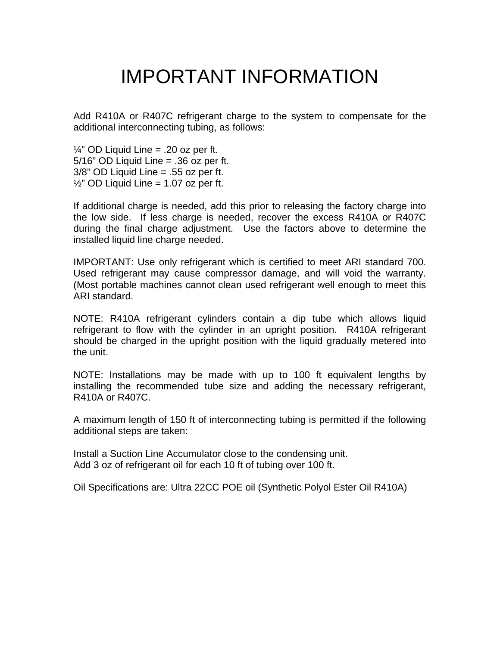# IMPORTANT INFORMATION

Add R410A or R407C refrigerant charge to the system to compensate for the additional interconnecting tubing, as follows:

 $\frac{1}{4}$ " OD Liquid Line = .20 oz per ft. 5/16" OD Liquid Line = .36 oz per ft. 3/8" OD Liquid Line = .55 oz per ft.  $\frac{1}{2}$ " OD Liquid Line = 1.07 oz per ft.

If additional charge is needed, add this prior to releasing the factory charge into the low side. If less charge is needed, recover the excess R410A or R407C during the final charge adjustment. Use the factors above to determine the installed liquid line charge needed.

IMPORTANT: Use only refrigerant which is certified to meet ARI standard 700. Used refrigerant may cause compressor damage, and will void the warranty. (Most portable machines cannot clean used refrigerant well enough to meet this ARI standard.

NOTE: R410A refrigerant cylinders contain a dip tube which allows liquid refrigerant to flow with the cylinder in an upright position. R410A refrigerant should be charged in the upright position with the liquid gradually metered into the unit.

NOTE: Installations may be made with up to 100 ft equivalent lengths by installing the recommended tube size and adding the necessary refrigerant, R410A or R407C.

A maximum length of 150 ft of interconnecting tubing is permitted if the following additional steps are taken:

Install a Suction Line Accumulator close to the condensing unit. Add 3 oz of refrigerant oil for each 10 ft of tubing over 100 ft.

Oil Specifications are: Ultra 22CC POE oil (Synthetic Polyol Ester Oil R410A)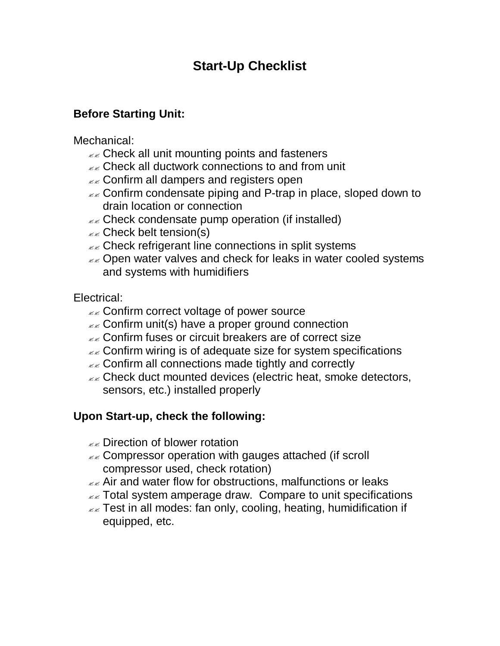# **Start-Up Checklist**

# **Before Starting Unit:**

# Mechanical:

- $\epsilon \approx$  Check all unit mounting points and fasteners
- $\mathbb{R}$  Check all ductwork connections to and from unit
- $\epsilon$  Confirm all dampers and registers open
- $\epsilon \approx$  Confirm condensate piping and P-trap in place, sloped down to drain location or connection
- $\mathbb{Z}$  Check condensate pump operation (if installed)
- $\mathbb{Z}$  Check belt tension(s)
- $\epsilon$  Check refrigerant line connections in split systems
- **EX** Open water valves and check for leaks in water cooled systems and systems with humidifiers

# Electrical:

- $\epsilon \epsilon$  Confirm correct voltage of power source
- $\alpha$  Confirm unit(s) have a proper ground connection
- $\epsilon \ll 2$  Confirm fuses or circuit breakers are of correct size
- $\epsilon \approx$  Confirm wiring is of adequate size for system specifications
- $\mathbb{Z}$  Confirm all connections made tightly and correctly
- $\mathbb{R}$  Check duct mounted devices (electric heat, smoke detectors, sensors, etc.) installed properly

# **Upon Start-up, check the following:**

- $\mathbb{R}$  Direction of blower rotation
- $\epsilon$  Compressor operation with gauges attached (if scroll compressor used, check rotation)
- $\epsilon \ll 1$  Air and water flow for obstructions, malfunctions or leaks
- $\epsilon$  Total system amperage draw. Compare to unit specifications
- $\epsilon$  Test in all modes: fan only, cooling, heating, humidification if equipped, etc.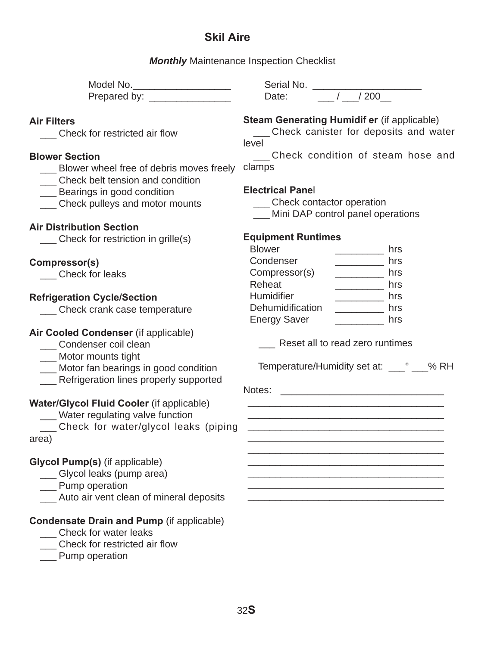# **Skil Aire**

*Monthly* Maintenance Inspection Checklist

 Model No. \_\_\_\_\_\_\_\_\_\_\_\_\_\_\_\_\_\_ Serial No. \_\_\_\_\_\_\_\_\_\_\_\_\_\_\_\_\_\_\_\_ Prepared by: \_\_\_\_\_\_\_\_\_\_\_\_\_\_\_ Date: \_\_\_ / \_\_\_/ 200\_\_

# **Air Filters**

Check for restricted air flow

# **Blower Section**

\_\_\_ Blower wheel free of debris moves freely

\_\_\_ Check belt tension and condition

**\_\_\_** Bearings in good condition

\_\_\_ Check pulleys and motor mounts

# **Air Distribution Section**

\_\_\_ Check for restriction in grille(s)

# **Compressor(s)**

\_\_\_ Check for leaks

# **Refrigeration Cycle/Section**

\_\_\_ Check crank case temperature

# **Air Cooled Condenser** (if applicable)

- Condenser coil clean
- \_\_\_ Motor mounts tight
- \_\_\_ Motor fan bearings in good condition
- \_\_\_ Refrigeration lines properly supported

# **Water/Glycol Fluid Cooler** (if applicable)

\_\_\_ Water regulating valve function

 \_\_\_ Check for water/glycol leaks (piping area)

# **Glycol Pump(s)** (if applicable)

- \_\_\_ Glycol leaks (pump area)
- \_\_\_ Pump operation
- \_\_\_ Auto air vent clean of mineral deposits

# **Condensate Drain and Pump** (if applicable)

- \_\_\_ Check for water leaks
- \_\_\_ Check for restricted air flow
- Pump operation

# **Steam Generating Humidif er** (if applicable)

 \_\_\_ Check canister for deposits and water level

 \_\_\_ Check condition of steam hose and clamps

# **Electrical Pane**l

\_\_\_ Check contactor operation

Mini DAP control panel operations

# **Equipment Runtimes**

| <b>Blower</b>       | hrs |
|---------------------|-----|
| Condenser           | hrs |
| Compressor(s)       | hrs |
| Reheat              | hrs |
| Humidifier          | hrs |
| Dehumidification    | hrs |
| <b>Energy Saver</b> | hrs |

Reset all to read zero runtimes

Temperature/Humidity set at: \_\_\_° \_\_\_% RH

 $\frac{1}{2}$  , and the contract of the contract of the contract of the contract of the contract of the contract of the contract of the contract of the contract of the contract of the contract of the contract of the contract

 $\frac{1}{2}$  , and the contract of the contract of the contract of the contract of the contract of the contract of the contract of the contract of the contract of the contract of the contract of the contract of the contract  $\frac{1}{2}$  , and the set of the set of the set of the set of the set of the set of the set of the set of the set of the set of the set of the set of the set of the set of the set of the set of the set of the set of the set  $\frac{1}{2}$  , and the contract of the contract of the contract of the contract of the contract of the contract of the contract of the contract of the contract of the contract of the contract of the contract of the contract  $\frac{1}{2}$  , and the contract of the contract of the contract of the contract of the contract of the contract of the contract of the contract of the contract of the contract of the contract of the contract of the contract  $\frac{1}{2}$  , and the set of the set of the set of the set of the set of the set of the set of the set of the set of the set of the set of the set of the set of the set of the set of the set of the set of the set of the set

Notes: \_\_\_\_\_\_\_\_\_\_\_\_\_\_\_\_\_\_\_\_\_\_\_\_\_\_\_\_\_\_  $\frac{1}{2}$  , and the set of the set of the set of the set of the set of the set of the set of the set of the set of the set of the set of the set of the set of the set of the set of the set of the set of the set of the set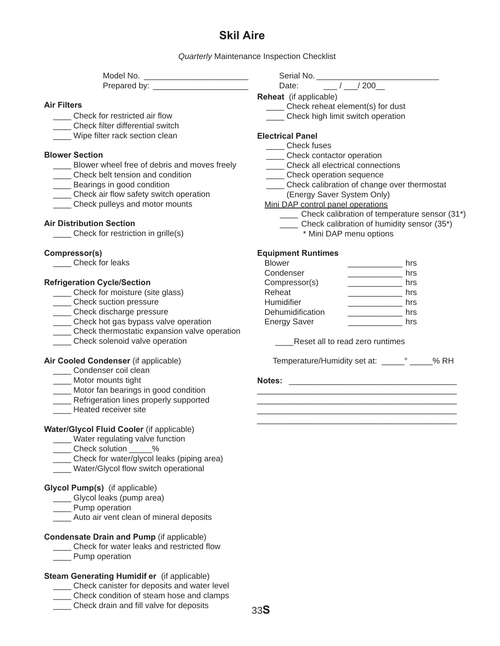# **Skil Aire**

*Quarterly* Maintenance Inspection Checklist

| Model No.    |  |
|--------------|--|
| Prepared by: |  |

### **Air Filters**

- Check for restricted air flow
- Check filter differential switch
- Wipe filter rack section clean

#### **Blower Section**

- Blower wheel free of debris and moves freely
- \_\_\_\_ Check belt tension and condition
- **\_\_\_\_** Bearings in good condition
- \_\_\_\_ Check air flow safety switch operation
- \_\_\_\_ Check pulleys and motor mounts

### **Air Distribution Section**

\_\_\_\_ Check for restriction in grille(s)

#### **Compressor(s)**

\_\_\_\_ Check for leaks

#### **Refrigeration Cycle/Section**

- \_\_\_\_ Check for moisture (site glass)
- \_\_\_\_ Check suction pressure
- \_\_\_\_ Check discharge pressure
- \_\_\_\_ Check hot gas bypass valve operation
- \_\_\_\_ Check thermostatic expansion valve operation
- \_\_\_\_ Check solenoid valve operation

### **Air Cooled Condenser** (if applicable)

- \_\_\_\_ Condenser coil clean
- \_\_\_\_ Motor mounts tight
- \_\_\_\_ Motor fan bearings in good condition
- **EXEC** Refrigeration lines properly supported
- \_\_\_\_ Heated receiver site

#### **Water/Glycol Fluid Cooler** (if applicable)

- \_\_\_\_ Water regulating valve function
- \_\_\_\_ Check solution \_\_\_\_\_%
- \_\_\_\_ Check for water/glycol leaks (piping area)
- Water/Glycol flow switch operational

### **Glycol Pump(s)** (if applicable)

- \_\_\_\_ Glycol leaks (pump area)
- \_\_\_\_ Pump operation
- Auto air vent clean of mineral deposits

#### **Condensate Drain and Pump** (if applicable)

- \_\_\_\_ Check for water leaks and restricted flow
- Pump operation

### **Steam Generating Humidif er** (if applicable)

- \_\_\_\_ Check canister for deposits and water level
- \_\_\_\_ Check condition of steam hose and clamps
- \_\_\_\_ Check drain and fill valve for deposits

Serial No. \_\_\_\_\_\_\_\_

Pate:  $\sqrt{200}$ 

**Reheat** (if applicable)

- \_\_\_\_ Check reheat element(s) for dust
- \_\_\_\_ Check high limit switch operation

# **Electrical Panel**

- \_\_\_\_ Check fuses
	- \_\_\_\_\_ Check contactor operation
- \_\_\_\_ Check all electrical connections
- \_\_\_\_\_ Check operation sequence
- \_\_\_\_ Check calibration of change over thermostat
- (Energy Saver System Only)
- Mini DAP control panel operations
	- \_\_\_\_ Check calibration of temperature sensor (31\*)
	- \_\_\_\_ Check calibration of humidity sensor (35\*)
		- \* Mini DAP menu options

#### **Equipment Runtimes**

| <b>Blower</b>       | hrs |
|---------------------|-----|
| Condenser           | hrs |
| Compressor(s)       | hrs |
| Reheat              | hrs |
| Humidifier          | hrs |
| Dehumidification    | hrs |
| <b>Energy Saver</b> | hrs |
|                     |     |

\_\_\_\_Reset all to read zero runtimes

Temperature/Humidity set at: \_\_\_\_\_° \_\_\_\_\_% RH

\_\_\_\_\_\_\_\_\_\_\_\_\_\_\_\_\_\_\_\_\_\_\_\_\_\_\_\_\_\_\_\_\_\_\_\_\_\_\_\_\_\_\_\_ \_\_\_\_\_\_\_\_\_\_\_\_\_\_\_\_\_\_\_\_\_\_\_\_\_\_\_\_\_\_\_\_\_\_\_\_\_\_\_\_\_\_\_\_ \_\_\_\_\_\_\_\_\_\_\_\_\_\_\_\_\_\_\_\_\_\_\_\_\_\_\_\_\_\_\_\_\_\_\_\_\_\_\_\_\_\_\_\_ \_\_\_\_\_\_\_\_\_\_\_\_\_\_\_\_\_\_\_\_\_\_\_\_\_\_\_\_\_\_\_\_\_\_\_\_\_\_\_\_\_\_\_\_

**Notes:** \_\_\_\_\_\_\_\_\_\_\_\_\_\_\_\_\_\_\_\_\_\_\_\_\_\_\_\_\_\_\_\_\_\_\_\_\_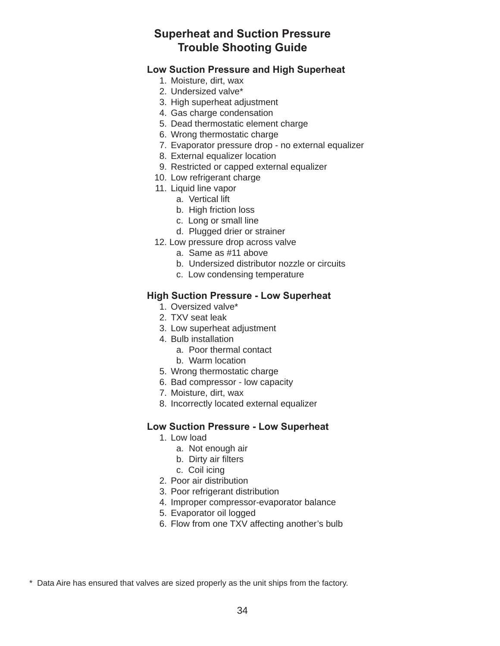# **Superheat and Suction Pressure Trouble Shooting Guide**

# **Low Suction Pressure and High Superheat**

- 1. Moisture, dirt, wax
- 2. Undersized valve\*
- 3. High superheat adjustment
- 4. Gas charge condensation
- 5. Dead thermostatic element charge
- 6. Wrong thermostatic charge
- 7. Evaporator pressure drop no external equalizer
- 8. External equalizer location
- 9. Restricted or capped external equalizer
- 10. Low refrigerant charge
- 11. Liquid line vapor
	- a. Vertical lift
	- b. High friction loss
	- c. Long or small line
	- d. Plugged drier or strainer
- 12. Low pressure drop across valve
	- a. Same as #11 above
	- b. Undersized distributor nozzle or circuits
	- c. Low condensing temperature

# **High Suction Pressure - Low Superheat**

- 1. Oversized valve\*
- 2. TXV seat leak
- 3. Low superheat adjustment
- 4. Bulb installation
	- a. Poor thermal contact
	- b. Warm location
- 5. Wrong thermostatic charge
- 6. Bad compressor low capacity
- 7. Moisture, dirt, wax
- 8. Incorrectly located external equalizer

# **Low Suction Pressure - Low Superheat**

- 1. Low load
	- a. Not enough air
	- b. Dirty air filters
	- c. Coil icing
- 2. Poor air distribution
- 3. Poor refrigerant distribution
- 4. Improper compressor-evaporator balance
- 5. Evaporator oil logged
- 6. Flow from one TXV affecting another's bulb

\* Data Aire has ensured that valves are sized properly as the unit ships from the factory.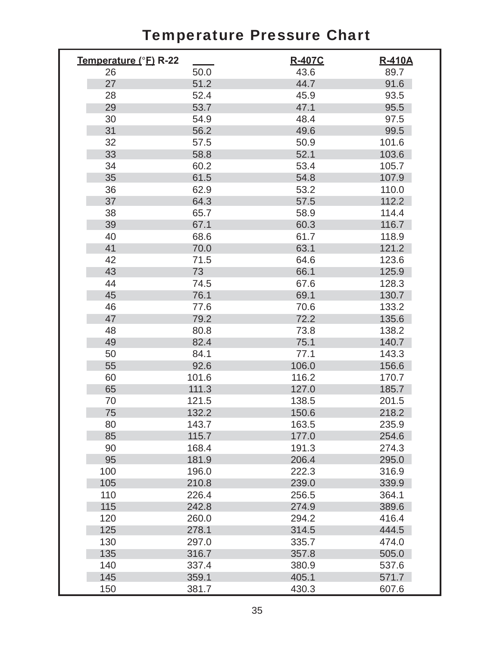# Temperature Pressure Chart

| Temperature (°F) R-22 |                | R-407C         | <b>R-410A</b>  |
|-----------------------|----------------|----------------|----------------|
| 26                    | 50.0           | 43.6           | 89.7           |
| 27                    | 51.2           | 44.7           | 91.6           |
| 28                    | 52.4           | 45.9           | 93.5           |
| 29                    | 53.7           | 47.1           | 95.5           |
| 30                    | 54.9           | 48.4           | 97.5           |
| 31                    | 56.2           | 49.6           | 99.5           |
| 32                    | 57.5           | 50.9           | 101.6          |
| 33                    | 58.8           | 52.1           | 103.6          |
| 34                    | 60.2           | 53.4           | 105.7          |
| 35                    | 61.5           | 54.8           | 107.9          |
| 36                    | 62.9           | 53.2           | 110.0          |
| 37                    | 64.3           | 57.5           | 112.2          |
| 38                    | 65.7           | 58.9           | 114.4          |
| 39                    | 67.1           | 60.3           | 116.7          |
| 40                    | 68.6           | 61.7           | 118.9          |
| 41                    | 70.0           | 63.1           | 121.2          |
| 42                    | 71.5           | 64.6           | 123.6          |
| 43                    | 73             | 66.1           | 125.9          |
| 44                    | 74.5           | 67.6           | 128.3          |
| 45                    | 76.1           | 69.1           | 130.7          |
| 46                    | 77.6           | 70.6           | 133.2          |
| 47                    | 79.2           | 72.2           | 135.6          |
| 48                    | 80.8           | 73.8           | 138.2          |
| 49                    | 82.4           | 75.1           | 140.7          |
| 50                    | 84.1           | 77.1           | 143.3          |
| 55                    | 92.6           | 106.0          | 156.6          |
| 60                    | 101.6          | 116.2          | 170.7          |
| 65                    | 111.3          | 127.0          | 185.7          |
| 70                    | 121.5          | 138.5          | 201.5          |
| 75                    | 132.2          | 150.6          | 218.2          |
| 80                    | 143.7          | 163.5          | 235.9          |
| 85                    | 115.7          | 177.0          | 254.6          |
| 90                    | 168.4          | 191.3          | 274.3          |
| 95                    | 181.9          | 206.4          | 295.0          |
| 100                   | 196.0          | 222.3          | 316.9          |
| 105                   | 210.8          | 239.0          | 339.9          |
| 110                   | 226.4          | 256.5          | 364.1          |
| 115                   | 242.8          | 274.9          | 389.6          |
| 120                   | 260.0<br>278.1 | 294.2          | 416.4          |
| 125                   |                | 314.5          | 444.5          |
| 130                   | 297.0          | 335.7          | 474.0          |
| 135                   | 316.7          | 357.8          | 505.0          |
| 140<br>145            | 337.4<br>359.1 | 380.9<br>405.1 | 537.6<br>571.7 |
|                       |                |                |                |
| 150                   | 381.7          | 430.3          | 607.6          |